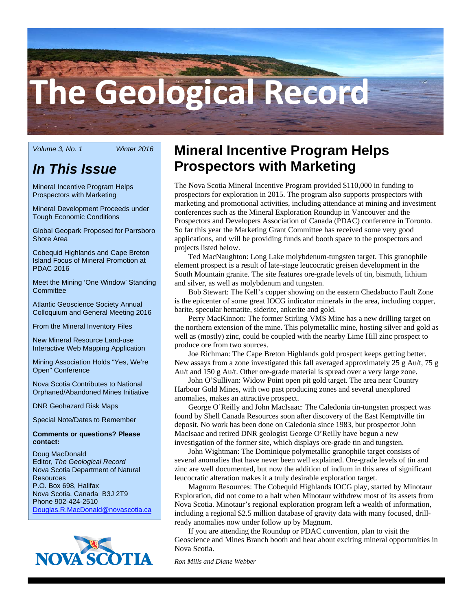# **The Geological Record**

*Volume 3, No. 1 Winter 2016* 

# *In This Issue*

Mineral Incentive Program Helps Prospectors with Marketing

Mineral Development Proceeds under Tough Economic Conditions

Global Geopark Proposed for Parrsboro Shore Area

Cobequid Highlands and Cape Breton Island Focus of Mineral Promotion at PDAC 2016

Meet the Mining 'One Window' Standing **Committee** 

Atlantic Geoscience Society Annual Colloquium and General Meeting 2016

From the Mineral Inventory Files

New Mineral Resource Land-use Interactive Web Mapping Application

Mining Association Holds "Yes, We're Open" Conference

Nova Scotia Contributes to National Orphaned/Abandoned Mines Initiative

DNR Geohazard Risk Maps

Special Note/Dates to Remember

#### **Comments or questions? Please contact:**

Doug MacDonald Editor, *The Geological Record*  Nova Scotia Department of Natural **Resources** P.O. Box 698, Halifax Nova Scotia, Canada B3J 2T9 Phone 902-424-2510 [Douglas.R.MacDonald@novascotia.ca](mailto:Douglas.R.MacDonald@novascotia.ca) 



## **Mineral Incentive Program Helps Prospectors with Marketing**

The Nova Scotia Mineral Incentive Program provided \$110,000 in funding to prospectors for exploration in 2015. The program also supports prospectors with marketing and promotional activities, including attendance at mining and investment conferences such as the Mineral Exploration Roundup in Vancouver and the Prospectors and Developers Association of Canada (PDAC) conference in Toronto. So far this year the Marketing Grant Committee has received some very good applications, and will be providing funds and booth space to the prospectors and projects listed below.

 Ted MacNaughton: Long Lake molybdenum-tungsten target. This granophile element prospect is a result of late-stage leucocratic greisen development in the South Mountain granite. The site features ore-grade levels of tin, bismuth, lithium and silver, as well as molybdenum and tungsten.

 Bob Stewart: The Kell's copper showing on the eastern Chedabucto Fault Zone is the epicenter of some great IOCG indicator minerals in the area, including copper, barite, specular hematite, siderite, ankerite and gold.

 Perry MacKinnon: The former Stirling VMS Mine has a new drilling target on the northern extension of the mine. This polymetallic mine, hosting silver and gold as well as (mostly) zinc, could be coupled with the nearby Lime Hill zinc prospect to produce ore from two sources.

 Joe Richman: The Cape Breton Highlands gold prospect keeps getting better. New assays from a zone investigated this fall averaged approximately 25 g Au/t, 75 g Au/t and 150 g Au/t. Other ore-grade material is spread over a very large zone.

 John O'Sullivan: Widow Point open pit gold target. The area near Country Harbour Gold Mines, with two past producing zones and several unexplored anomalies, makes an attractive prospect.

 George O'Reilly and John MacIsaac: The Caledonia tin-tungsten prospect was found by Shell Canada Resources soon after discovery of the East Kemptville tin deposit. No work has been done on Caledonia since 1983, but prospector John MacIsaac and retired DNR geologist George O'Reilly have begun a new investigation of the former site, which displays ore-grade tin and tungsten.

 John Wightman: The Dominique polymetallic granophile target consists of several anomalies that have never been well explained. Ore-grade levels of tin and zinc are well documented, but now the addition of indium in this area of significant leucocratic alteration makes it a truly desirable exploration target.

 Magnum Resources: The Cobequid Highlands IOCG play, started by Minotaur Exploration, did not come to a halt when Minotaur withdrew most of its assets from Nova Scotia. Minotaur's regional exploration program left a wealth of information, including a regional \$2.5 million database of gravity data with many focused, drillready anomalies now under follow up by Magnum.

 If you are attending the Roundup or PDAC convention, plan to visit the Geoscience and Mines Branch booth and hear about exciting mineral opportunities in Nova Scotia.

*Ron Mills and Diane Webber*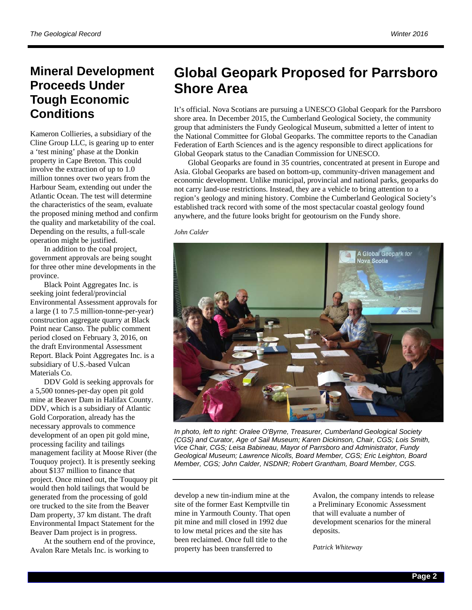## **Mineral Development Proceeds Under Tough Economic Conditions**

Kameron Collieries, a subsidiary of the Cline Group LLC, is gearing up to enter a 'test mining' phase at the Donkin property in Cape Breton. This could involve the extraction of up to 1.0 million tonnes over two years from the Harbour Seam, extending out under the Atlantic Ocean. The test will determine the characteristics of the seam, evaluate the proposed mining method and confirm the quality and marketability of the coal. Depending on the results, a full-scale operation might be justified.

 In addition to the coal project, government approvals are being sought for three other mine developments in the province.

 Black Point Aggregates Inc. is seeking joint federal/provincial Environmental Assessment approvals for a large (1 to 7.5 million-tonne-per-year) construction aggregate quarry at Black Point near Canso. The public comment period closed on February 3, 2016, on the draft Environmental Assessment Report. Black Point Aggregates Inc. is a subsidiary of U.S.-based Vulcan Materials Co.

 DDV Gold is seeking approvals for a 5,500 tonnes-per-day open pit gold mine at Beaver Dam in Halifax County. DDV, which is a subsidiary of Atlantic Gold Corporation, already has the necessary approvals to commence development of an open pit gold mine, processing facility and tailings management facility at Moose River (the Touquoy project). It is presently seeking about \$137 million to finance that project. Once mined out, the Touquoy pit would then hold tailings that would be generated from the processing of gold ore trucked to the site from the Beaver Dam property, 37 km distant. The draft Environmental Impact Statement for the Beaver Dam project is in progress.

 At the southern end of the province, Avalon Rare Metals Inc. is working to

# **Global Geopark Proposed for Parrsboro Shore Area**

It's official. Nova Scotians are pursuing a UNESCO Global Geopark for the Parrsboro shore area. In December 2015, the Cumberland Geological Society, the community group that administers the Fundy Geological Museum, submitted a letter of intent to the National Committee for Global Geoparks. The committee reports to the Canadian Federation of Earth Sciences and is the agency responsible to direct applications for Global Geopark status to the Canadian Commission for UNESCO.

 Global Geoparks are found in 35 countries, concentrated at present in Europe and Asia. Global Geoparks are based on bottom-up, community-driven management and economic development. Unlike municipal, provincial and national parks, geoparks do not carry land-use restrictions. Instead, they are a vehicle to bring attention to a region's geology and mining history. Combine the Cumberland Geological Society's established track record with some of the most spectacular coastal geology found anywhere, and the future looks bright for geotourism on the Fundy shore.

#### *John Calder*



*In photo, left to right: Oralee O'Byrne, Treasurer, Cumberland Geological Society (CGS) and Curator, Age of Sail Museum; Karen Dickinson, Chair, CGS; Lois Smith, Vice Chair, CGS; Leisa Babineau, Mayor of Parrsboro and Administrator, Fundy Geological Museum; Lawrence Nicolls, Board Member, CGS; Eric Leighton, Board Member, CGS; John Calder, NSDNR; Robert Grantham, Board Member, CGS.* 

develop a new tin-indium mine at the site of the former East Kemptville tin mine in Yarmouth County. That open pit mine and mill closed in 1992 due to low metal prices and the site has been reclaimed. Once full title to the property has been transferred to

Avalon, the company intends to release a Preliminary Economic Assessment that will evaluate a number of development scenarios for the mineral deposits.

*Patrick Whiteway*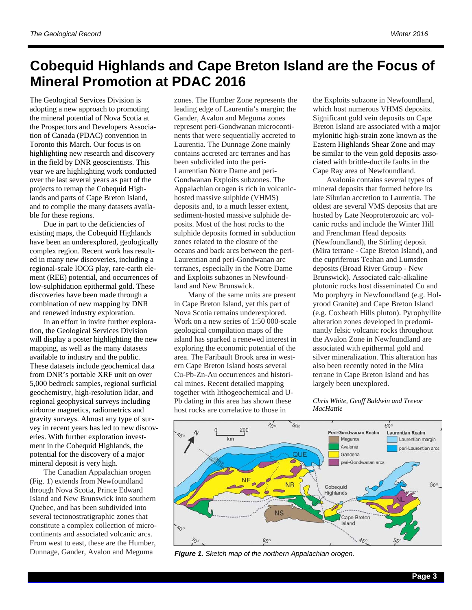# **Cobequid Highlands and Cape Breton Island are the Focus of Mineral Promotion at PDAC 2016**

The Geological Services Division is adopting a new approach to promoting the mineral potential of Nova Scotia at the Prospectors and Developers Association of Canada (PDAC) convention in Toronto this March. Our focus is on highlighting new research and discovery in the field by DNR geoscientists. This year we are highlighting work conducted over the last several years as part of the projects to remap the Cobequid Highlands and parts of Cape Breton Island, and to compile the many datasets available for these regions.

 Due in part to the deficiencies of existing maps, the Cobequid Highlands have been an underexplored, geologically complex region. Recent work has resulted in many new discoveries, including a regional-scale IOCG play, rare-earth element (REE) potential, and occurrences of low-sulphidation epithermal gold. These discoveries have been made through a combination of new mapping by DNR and renewed industry exploration.

 In an effort in invite further exploration, the Geological Services Division will display a poster highlighting the new mapping, as well as the many datasets available to industry and the public. These datasets include geochemical data from DNR's portable XRF unit on over 5,000 bedrock samples, regional surficial geochemistry, high-resolution lidar, and regional geophysical surveys including airborne magnetics, radiometrics and gravity surveys. Almost any type of survey in recent years has led to new discoveries. With further exploration investment in the Cobequid Highlands, the potential for the discovery of a major mineral deposit is very high.

The Canadian Appalachian orogen (Fig. 1) extends from Newfoundland through Nova Scotia, Prince Edward Island and New Brunswick into southern Quebec, and has been subdivided into several tectonostratigraphic zones that constitute a complex collection of microcontinents and associated volcanic arcs. From west to east, these are the Humber, Dunnage, Gander, Avalon and Meguma

zones. The Humber Zone represents the leading edge of Laurentia's margin; the Gander, Avalon and Meguma zones represent peri-Gondwanan microcontinents that were sequentially accreted to Laurentia. The Dunnage Zone mainly contains accreted arc terranes and has been subdivided into the peri-Laurentian Notre Dame and peri-Gondwanan Exploits subzones. The Appalachian orogen is rich in volcanichosted massive sulphide (VHMS) deposits and, to a much lesser extent, sediment-hosted massive sulphide deposits. Most of the host rocks to the sulphide deposits formed in subduction zones related to the closure of the oceans and back arcs between the peri-Laurentian and peri-Gondwanan arc terranes, especially in the Notre Dame and Exploits subzones in Newfoundland and New Brunswick.

 Many of the same units are present in Cape Breton Island, yet this part of Nova Scotia remains underexplored. Work on a new series of 1:50 000-scale geological compilation maps of the island has sparked a renewed interest in exploring the economic potential of the area. The Faribault Brook area in western Cape Breton Island hosts several Cu-Pb-Zn-Au occurrences and historical mines. Recent detailed mapping together with lithogeochemical and U-Pb dating in this area has shown these host rocks are correlative to those in

the Exploits subzone in Newfoundland, which host numerous VHMS deposits. Significant gold vein deposits on Cape Breton Island are associated with a major mylonitic high-strain zone known as the Eastern Highlands Shear Zone and may be similar to the vein gold deposits associated with brittle-ductile faults in the Cape Ray area of Newfoundland.

 Avalonia contains several types of mineral deposits that formed before its late Silurian accretion to Laurentia. The oldest are several VMS deposits that are hosted by Late Neoproterozoic arc volcanic rocks and include the Winter Hill and Frenchman Head deposits (Newfoundland), the Stirling deposit (Mira terrane - Cape Breton Island), and the cupriferous Teahan and Lumsden deposits (Broad River Group - New Brunswick). Associated calc-alkaline plutonic rocks host disseminated Cu and Mo porphyry in Newfoundland (e.g. Holyrood Granite) and Cape Breton Island (e.g. Coxheath Hills pluton). Pyrophyllite alteration zones developed in predominantly felsic volcanic rocks throughout the Avalon Zone in Newfoundland are associated with epithermal gold and silver mineralization. This alteration has also been recently noted in the Mira terrane in Cape Breton Island and has largely been unexplored.

*Chris White, Geoff Baldwin and Trevor MacHattie* 



*Figure 1. Sketch map of the northern Appalachian orogen.*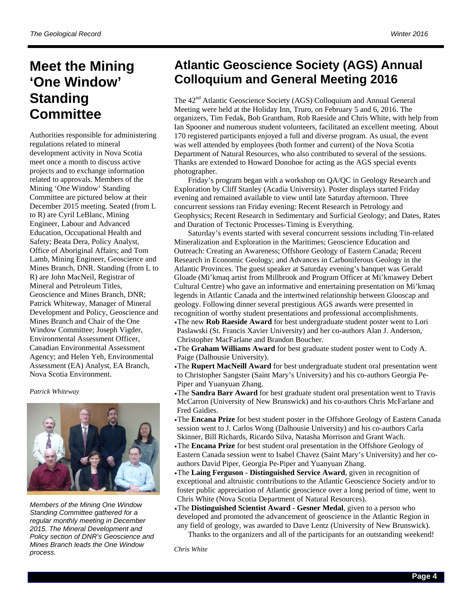# **Meet the Mining 'One Window' Standing Committee**

Authorities responsible for administering regulations related to mineral development activity in Nova Scotia meet once a month to discuss active projects and to exchange information related to approvals. Members of the Mining 'One Window' Standing Committee are pictured below at their December 2015 meeting. Seated (from L to R) are Cyril LeBlanc, Mining Engineer, Labour and Advanced Education, Occupational Health and Safety; Beata Dera, Policy Analyst, Office of Aboriginal Affairs; and Tom Lamb, Mining Engineer, Geoscience and Mines Branch, DNR. Standing (from L to R) are John MacNeil, Registrar of Mineral and Petroleum Titles, Geoscience and Mines Branch, DNR; Patrick Whiteway, Manager of Mineral Development and Policy, Geoscience and Mines Branch and Chair of the One Window Committee; Joseph Vigder, Environmental Assessment Officer, Canadian Environmental Assessment Agency; and Helen Yeh, Environmental Assessment (EA) Analyst, EA Branch, Nova Scotia Environment.

*Patrick Whiteway* 



*Members of the Mining One Window Standing Committee gathered for a regular monthly meeting in December 2015. The Mineral Development and Policy section of DNR's Geoscience and Mines Branch leads the One Window process.* 

## **Atlantic Geoscience Society (AGS) Annual Colloquium and General Meeting 2016**

The 42<sup>nd</sup> Atlantic Geoscience Society (AGS) Colloquium and Annual General Meeting were held at the Holiday Inn, Truro, on February 5 and 6, 2016. The organizers, Tim Fedak, Bob Grantham, Rob Raeside and Chris White, with help from Ian Spooner and numerous student volunteers, facilitated an excellent meeting. About 170 registered participants enjoyed a full and diverse program. As usual, the event was well attended by employees (both former and current) of the Nova Scotia Department of Natural Resources, who also contributed to several of the sessions. Thanks are extended to Howard Donohoe for acting as the AGS special events photographer.

 Friday's program began with a workshop on QA/QC in Geology Research and Exploration by Cliff Stanley (Acadia University). Poster displays started Friday evening and remained available to view until late Saturday afternoon. Three concurrent sessions ran Friday evening: Recent Research in Petrology and Geophysics; Recent Research in Sedimentary and Surficial Geology; and Dates, Rates and Duration of Tectonic Processes-Timing is Everything.

 Saturday's events started with several concurrent sessions including Tin-related Mineralization and Exploration in the Maritimes; Geoscience Education and Outreach: Creating an Awareness; Offshore Geology of Eastern Canada; Recent Research in Economic Geology; and Advances in Carboniferous Geology in the Atlantic Provinces. The guest speaker at Saturday evening's banquet was Gerald Gloade (Mi'kmaq artist from Millbrook and Program Officer at Mi'kmawey Debert Cultural Centre) who gave an informative and entertaining presentation on Mi'kmaq legends in Atlantic Canada and the intertwined relationship between Glooscap and geology. Following dinner several prestigious AGS awards were presented in recognition of worthy student presentations and professional accomplishments.

- \$The new **Rob Raeside Award** for best undergraduate student poster went to Lori Paslawski (St. Francis Xavier University) and her co-authors Alan J. Anderson, Christopher MacFarlane and Brandon Boucher.
- \$The **Graham Williams Award** for best graduate student poster went to Cody A. Paige (Dalhousie University).
- \$The **Rupert MacNeill Award** for best undergraduate student oral presentation went to Christopher Sangster (Saint Mary's University) and his co-authors Georgia Pe-Piper and Yuanyuan Zhang.
- \$The **Sandra Barr Award** for best graduate student oral presentation went to Travis McCarron (University of New Brunswick) and his co-authors Chris McFarlane and Fred Gaidies.
- \$The **Encana Prize** for best student poster in the Offshore Geology of Eastern Canada session went to J. Carlos Wong (Dalhousie University) and his co-authors Carla Skinner, Bill Richards, Ricardo Silva, Natasha Morrison and Grant Wach.
- \$The **Encana Prize** for best student oral presentation in the Offshore Geology of Eastern Canada session went to Isabel Chavez (Saint Mary's University) and her coauthors David Piper, Georgia Pe-Piper and Yuanyuan Zhang.
- \$The **Laing Ferguson Distinguished Service Award**, given in recognition of exceptional and altruistic contributions to the Atlantic Geoscience Society and/or to foster public appreciation of Atlantic geoscience over a long period of time, went to Chris White (Nova Scotia Department of Natural Resources).
- \$The **Distinguished Scientist Award Gesner Medal**, given to a person who developed and promoted the advancement of geoscience in the Atlantic Region in any field of geology, was awarded to Dave Lentz (University of New Brunswick).

Thanks to the organizers and all of the participants for an outstanding weekend!

*Chris White*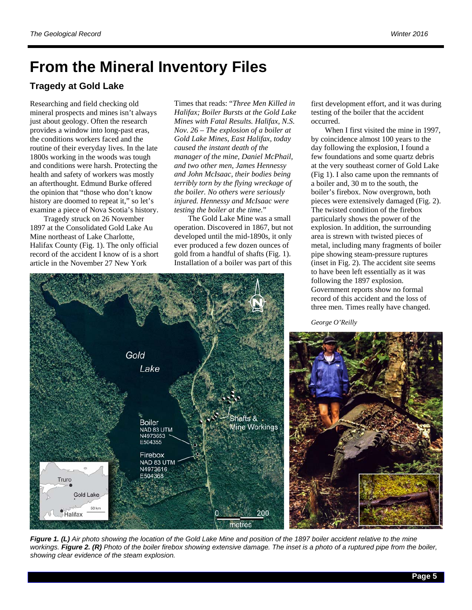# **From the Mineral Inventory Files**

### **Tragedy at Gold Lake**

Researching and field checking old mineral prospects and mines isn't always just about geology. Often the research provides a window into long-past eras, the conditions workers faced and the routine of their everyday lives. In the late 1800s working in the woods was tough and conditions were harsh. Protecting the health and safety of workers was mostly an afterthought. Edmund Burke offered the opinion that "those who don't know history are doomed to repeat it," so let's examine a piece of Nova Scotia's history.

 Tragedy struck on 26 November 1897 at the Consolidated Gold Lake Au Mine northeast of Lake Charlotte, Halifax County (Fig. 1). The only official record of the accident I know of is a short article in the November 27 New York

Times that reads: "*Three Men Killed in Halifax; Boiler Bursts at the Gold Lake Mines with Fatal Results. Halifax, N.S. Nov. 26 – The explosion of a boiler at Gold Lake Mines, East Halifax, today caused the instant death of the manager of the mine, Daniel McPhail, and two other men, James Hennessy and John McIsaac, their bodies being terribly torn by the flying wreckage of the boiler. No others were seriously injured. Hennessy and McIsaac were testing the boiler at the time.*"

 The Gold Lake Mine was a small operation. Discovered in 1867, but not developed until the mid-1890s, it only ever produced a few dozen ounces of gold from a handful of shafts (Fig. 1). Installation of a boiler was part of this

first development effort, and it was during testing of the boiler that the accident occurred.

 When I first visited the mine in 1997, by coincidence almost 100 years to the day following the explosion, I found a few foundations and some quartz debris at the very southeast corner of Gold Lake (Fig 1). I also came upon the remnants of a boiler and, 30 m to the south, the boiler's firebox. Now overgrown, both pieces were extensively damaged (Fig. 2). The twisted condition of the firebox particularly shows the power of the explosion. In addition, the surrounding area is strewn with twisted pieces of metal, including many fragments of boiler pipe showing steam-pressure ruptures (inset in Fig. 2). The accident site seems to have been left essentially as it was following the 1897 explosion. Government reports show no formal record of this accident and the loss of three men. Times really have changed.

*George O'Reilly* 



*Figure 1. (L) Air photo showing the location of the Gold Lake Mine and position of the 1897 boiler accident relative to the mine workings. Figure 2. (R) Photo of the boiler firebox showing extensive damage. The inset is a photo of a ruptured pipe from the boiler, showing clear evidence of the steam explosion.* 

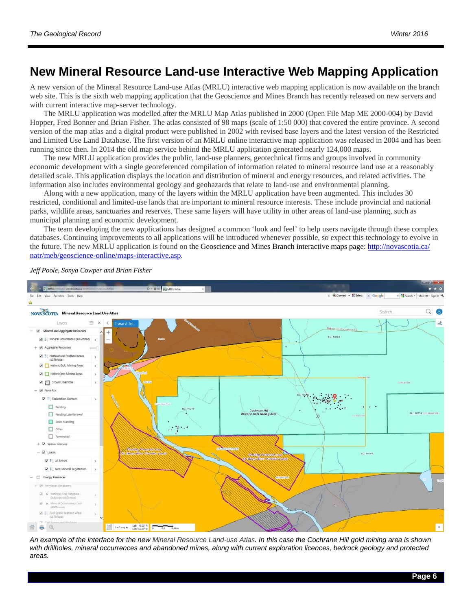## **New Mineral Resource Land-use Interactive Web Mapping Application**

A new version of the Mineral Resource Land-use Atlas (MRLU) interactive web mapping application is now available on the branch web site. This is the sixth web mapping application that the Geoscience and Mines Branch has recently released on new servers and with current interactive map-server technology.

 The MRLU application was modelled after the MRLU Map Atlas published in 2000 (Open File Map ME 2000-004) by David Hopper, Fred Bonner and Brian Fisher. The atlas consisted of 98 maps (scale of 1:50 000) that covered the entire province. A second version of the map atlas and a digital product were published in 2002 with revised base layers and the latest version of the Restricted and Limited Use Land Database. The first version of an MRLU online interactive map application was released in 2004 and has been running since then. In 2014 the old map service behind the MRLU application generated nearly 124,000 maps.

 The new MRLU application provides the public, land-use planners, geotechnical firms and groups involved in community economic development with a single georeferenced compilation of information related to mineral resource land use at a reasonably detailed scale. This application displays the location and distribution of mineral and energy resources, and related activities. The information also includes environmental geology and geohazards that relate to land-use and environmental planning.

 Along with a new application, many of the layers within the MRLU application have been augmented. This includes 30 restricted, conditional and limited-use lands that are important to mineral resource interests. These include provincial and national parks, wildlife areas, sanctuaries and reserves. These same layers will have utility in other areas of land-use planning, such as municipal planning and economic development.

 The team developing the new applications has designed a common 'look and feel' to help users navigate through these complex databases. Continuing improvements to all applications will be introduced whenever possible, so expect this technology to evolve in [the future. The new MRLU application is found on the Geoscience and Mines Branch interactive maps page:](http://novascotia.ca/natr/meb/geoscience-online/maps-interactive.asp) http://novascotia.ca/ natr/meb/geoscience-online/maps-interactive.asp.

A C **C** MRLU Ad Eile Edit View Favorites Tools Help Convert - Bi Select  $\times$  Google  $\frac{3}{2}$  Search 涵  $Q$   $R$ NOVA SCOTIA Mineral Resource Land Use Atlas Search Layers  $\equiv$  $\geq 6$ Mineral and Aggregate Resources EL: 50386 City 11 Mineral Occurrences (d002) + Z Aggregate Resources  $\boxtimes$   $\leftarrow$  Horticultural Peatland Areas Historic Gold Mining Areas Historic Iron Mining Areas  $\boxtimes$   $\sum$  Crown Limeston  $\overline{\mathscr{L}}$  Nova Roo  $\boxtimes$   $\oplus$  Exploration Licence Pending Pending Late Rene Good Standing  $\Box$  Othe Terminated + M Special Licences  $\boxtimes$  Leaser  $\boxtimes$   $\boxplus$  All Leases M | Non-Mineral Registration  $-\Box$  Energy Resources  $+ 12$  Petroleum Database X National Coal Database x Mineral Occurrences Coa  $\boxtimes$  | | | Puel Grade Peatland Areas<br>(d378nspe) 常要 Lationg A Lat 45.23" N 0 0.2  $\mathbf{R}$ 

*Jeff Poole, Sonya Cowper and Brian Fisher*

*An example of the interface for the new Mineral Resource Land-use Atlas. In this case the Cochrane Hill gold mining area is shown with drillholes, mineral occurrences and abandoned mines, along with current exploration licences, bedrock geology and protected areas.*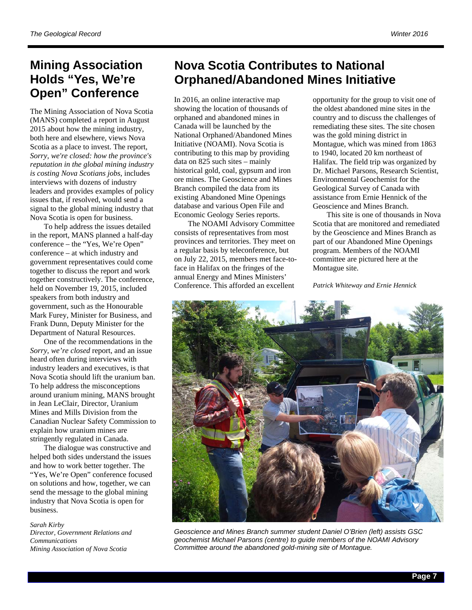## **Mining Association Holds "Yes, We're Open" Conference**

The Mining Association of Nova Scotia (MANS) completed a report in August 2015 about how the mining industry, both here and elsewhere, views Nova Scotia as a place to invest. The report, *Sorry, we're closed: how the province's reputation in the global mining industry is costing Nova Scotians jobs*, includes interviews with dozens of industry leaders and provides examples of policy issues that, if resolved, would send a signal to the global mining industry that Nova Scotia is open for business.

 To help address the issues detailed in the report, MANS planned a half-day conference – the "Yes, We're Open" conference – at which industry and government representatives could come together to discuss the report and work together constructively. The conference, held on November 19, 2015, included speakers from both industry and government, such as the Honourable Mark Furey, Minister for Business, and Frank Dunn, Deputy Minister for the Department of Natural Resources.

 One of the recommendations in the *Sorry, we're closed* report, and an issue heard often during interviews with industry leaders and executives, is that Nova Scotia should lift the uranium ban. To help address the misconceptions around uranium mining, MANS brought in Jean LeClair, Director, Uranium Mines and Mills Division from the Canadian Nuclear Safety Commission to explain how uranium mines are stringently regulated in Canada.

 The dialogue was constructive and helped both sides understand the issues and how to work better together. The "Yes, We're Open" conference focused on solutions and how, together, we can send the message to the global mining industry that Nova Scotia is open for business.

*Sarah Kirby Director, Government Relations and Communications Mining Association of Nova Scotia* 

## **Nova Scotia Contributes to National Orphaned/Abandoned Mines Initiative**

In 2016, an online interactive map showing the location of thousands of orphaned and abandoned mines in Canada will be launched by the National Orphaned/Abandoned Mines Initiative (NOAMI). Nova Scotia is contributing to this map by providing data on 825 such sites – mainly historical gold, coal, gypsum and iron ore mines. The Geoscience and Mines Branch compiled the data from its existing Abandoned Mine Openings database and various Open File and Economic Geology Series reports.

 The NOAMI Advisory Committee consists of representatives from most provinces and territories. They meet on a regular basis by teleconference, but on July 22, 2015, members met face-toface in Halifax on the fringes of the annual Energy and Mines Ministers' Conference. This afforded an excellent

opportunity for the group to visit one of the oldest abandoned mine sites in the country and to discuss the challenges of remediating these sites. The site chosen was the gold mining district in Montague, which was mined from 1863 to 1940, located 20 km northeast of Halifax. The field trip was organized by Dr. Michael Parsons, Research Scientist, Environmental Geochemist for the Geological Survey of Canada with assistance from Ernie Hennick of the Geoscience and Mines Branch.

 This site is one of thousands in Nova Scotia that are monitored and remediated by the Geoscience and Mines Branch as part of our Abandoned Mine Openings program. Members of the NOAMI committee are pictured here at the Montague site.

*Patrick Whiteway and Ernie Hennick* 



*Geoscience and Mines Branch summer student Daniel O'Brien (left) assists GSC geochemist Michael Parsons (centre) to guide members of the NOAMI Advisory Committee around the abandoned gold-mining site of Montague.*